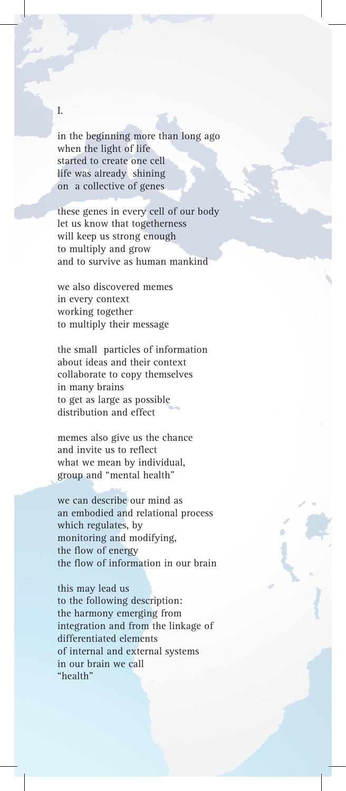## I.

in the beginning more than long ago when the light of life started to create one cell life was already shining on a collective of genes

these genes in every cell of our body let us know that togetherness will keep us strong enough to multiply and grow and to survive as human mankind

we also discovered memes in every context working together to multiply their message

the small particles of information about ideas and their context collaborate to copy themselves in many brains to get as large as possible distribution and effect

memes also give us the chance and invite us to reflect what we mean by individual, group and "mental health"

we can describe our mind as an embodied and relational process which regulates, by monitoring and modifying, the flow of energy the flow of information in our brain

this may lead us to the following description: the harmony emerging from integration and from the linkage of differentiated elements of internal and external systems in our brain we call "health"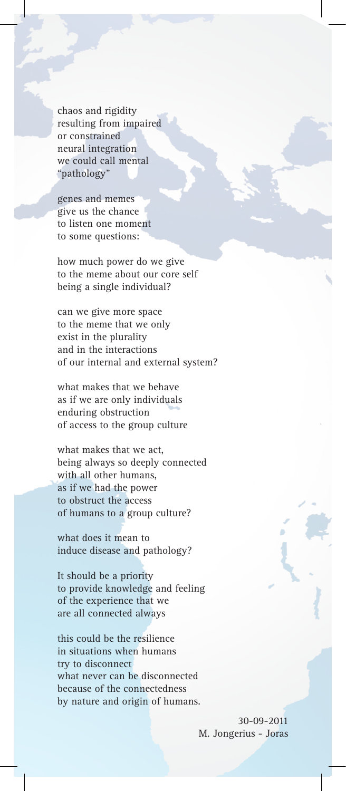chaos and rigidity resulting from impaired or constrained neural integration we could call mental "pathology"

genes and memes give us the chance to listen one moment to some questions:

how much power do we give to the meme about our core self being a single individual?

can we give more space to the meme that we only exist in the plurality and in the interactions of our internal and external system?

what makes that we behave as if we are only individuals enduring obstruction of access to the group culture

what makes that we act, being always so deeply connected with all other humans, as if we had the power to obstruct the access of humans to a group culture?

what does it mean to induce disease and pathology?

It should be a priority to provide knowledge and feeling of the experience that we are all connected always

this could be the resilience in situations when humans try to disconnect what never can be disconnected because of the connectedness by nature and origin of humans.

> 30-09-2011 M. Jongerius - Joras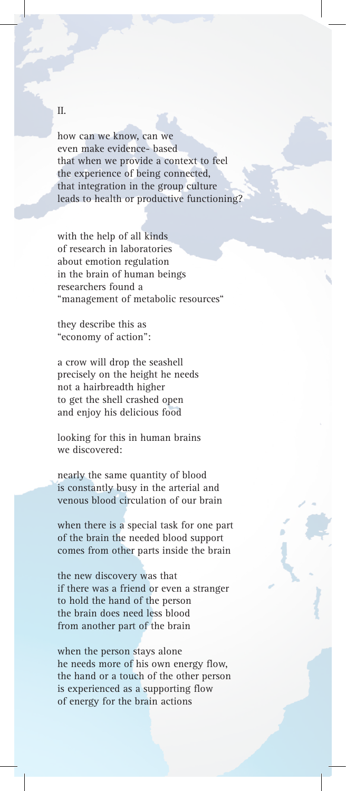how can we know, can we even make evidence- based that when we provide a context to feel the experience of being connected, that integration in the group culture leads to health or productive functioning?

with the help of all kinds of research in laboratories about emotion regulation in the brain of human beings researchers found a "management of metabolic resources"

they describe this as "economy of action":

a crow will drop the seashell precisely on the height he needs not a hairbreadth higher to get the shell crashed open and enjoy his delicious food

looking for this in human brains we discovered:

nearly the same quantity of blood is constantly busy in the arterial and venous blood circulation of our brain

when there is a special task for one part of the brain the needed blood support comes from other parts inside the brain

the new discovery was that if there was a friend or even a stranger to hold the hand of the person the brain does need less blood from another part of the brain

when the person stays alone he needs more of his own energy flow, the hand or a touch of the other person is experienced as a supporting flow of energy for the brain actions

## II.